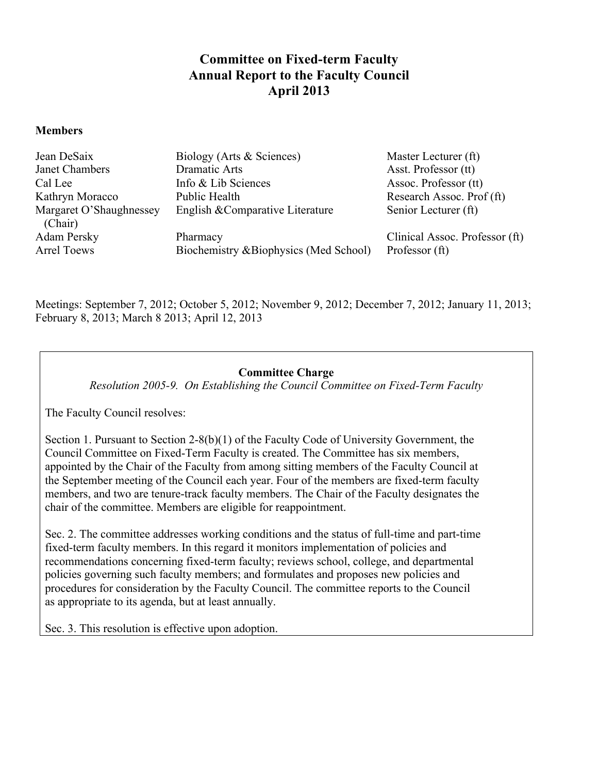# **Committee on Fixed-term Faculty Annual Report to the Faculty Council April 2013**

### **Members**

| Jean DeSaix             | Biology (Arts & Sciences)              | Master Lecturer (ft)           |
|-------------------------|----------------------------------------|--------------------------------|
| Janet Chambers          | Dramatic Arts                          | Asst. Professor (tt)           |
| Cal Lee                 | Info & Lib Sciences                    | Assoc. Professor (tt)          |
| Kathryn Moracco         | Public Health                          | Research Assoc. Prof (ft)      |
| Margaret O'Shaughnessey | English & Comparative Literature       | Senior Lecturer (ft)           |
| (Chair)                 |                                        |                                |
| Adam Persky             | Pharmacy                               | Clinical Assoc. Professor (ft) |
| <b>Arrel Toews</b>      | Biochemistry & Biophysics (Med School) | Professor (ft)                 |

Meetings: September 7, 2012; October 5, 2012; November 9, 2012; December 7, 2012; January 11, 2013; February 8, 2013; March 8 2013; April 12, 2013

### **Committee Charge**

*Resolution 2005-9. On Establishing the Council Committee on Fixed-Term Faculty*

The Faculty Council resolves:

Section 1. Pursuant to Section 2-8(b)(1) of the Faculty Code of University Government, the Council Committee on Fixed-Term Faculty is created. The Committee has six members, appointed by the Chair of the Faculty from among sitting members of the Faculty Council at the September meeting of the Council each year. Four of the members are fixed-term faculty members, and two are tenure-track faculty members. The Chair of the Faculty designates the chair of the committee. Members are eligible for reappointment.

Sec. 2. The committee addresses working conditions and the status of full-time and part-time fixed-term faculty members. In this regard it monitors implementation of policies and recommendations concerning fixed-term faculty; reviews school, college, and departmental policies governing such faculty members; and formulates and proposes new policies and procedures for consideration by the Faculty Council. The committee reports to the Council as appropriate to its agenda, but at least annually.

Sec. 3. This resolution is effective upon adoption.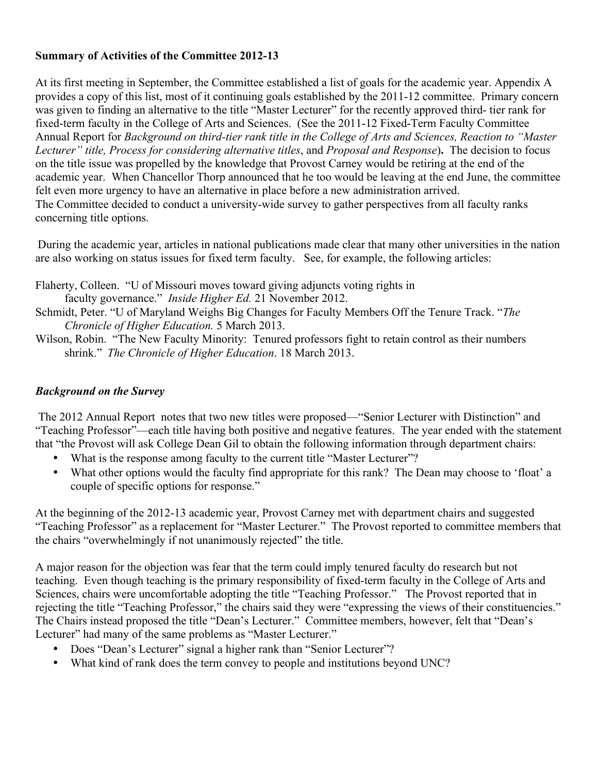# **Summary of Activities of the Committee 2012-13**

At its first meeting in September, the Committee established a list of goals for the academic year. Appendix A provides a copy of this list, most of it continuing goals established by the 2011-12 committee. Primary concern was given to finding an alternative to the title "Master Lecturer" for the recently approved third- tier rank for fixed-term faculty in the College of Arts and Sciences. (See the 2011-12 Fixed-Term Faculty Committee Annual Report for *Background on third-tier rank title in the College of Arts and Sciences, Reaction to "Master Lecturer" title, Process for considering alternative titles*, and *Proposal and Response*)**.** The decision to focus on the title issue was propelled by the knowledge that Provost Carney would be retiring at the end of the academic year. When Chancellor Thorp announced that he too would be leaving at the end June, the committee felt even more urgency to have an alternative in place before a new administration arrived. The Committee decided to conduct a university-wide survey to gather perspectives from all faculty ranks concerning title options.

During the academic year, articles in national publications made clear that many other universities in the nation are also working on status issues for fixed term faculty. See, for example, the following articles:

Flaherty, Colleen. "U of Missouri moves toward giving adjuncts voting rights in faculty governance." *Inside Higher Ed.* 21 November 2012.

- Schmidt, Peter. "U of Maryland Weighs Big Changes for Faculty Members Off the Tenure Track. "*The Chronicle of Higher Education.* 5 March 2013.
- Wilson, Robin. "The New Faculty Minority: Tenured professors fight to retain control as their numbers shrink." *The Chronicle of Higher Education*. 18 March 2013.

# *Background on the Survey*

The 2012 Annual Report notes that two new titles were proposed—"Senior Lecturer with Distinction" and "Teaching Professor"—each title having both positive and negative features. The year ended with the statement that "the Provost will ask College Dean Gil to obtain the following information through department chairs:

- What is the response among faculty to the current title "Master Lecturer"?
- What other options would the faculty find appropriate for this rank? The Dean may choose to 'float' a couple of specific options for response."

At the beginning of the 2012-13 academic year, Provost Carney met with department chairs and suggested "Teaching Professor" as a replacement for "Master Lecturer." The Provost reported to committee members that the chairs "overwhelmingly if not unanimously rejected" the title.

A major reason for the objection was fear that the term could imply tenured faculty do research but not teaching. Even though teaching is the primary responsibility of fixed-term faculty in the College of Arts and Sciences, chairs were uncomfortable adopting the title "Teaching Professor." The Provost reported that in rejecting the title "Teaching Professor," the chairs said they were "expressing the views of their constituencies." The Chairs instead proposed the title "Dean's Lecturer." Committee members, however, felt that "Dean's Lecturer" had many of the same problems as "Master Lecturer."

- Does "Dean's Lecturer" signal a higher rank than "Senior Lecturer"?
- What kind of rank does the term convey to people and institutions beyond UNC?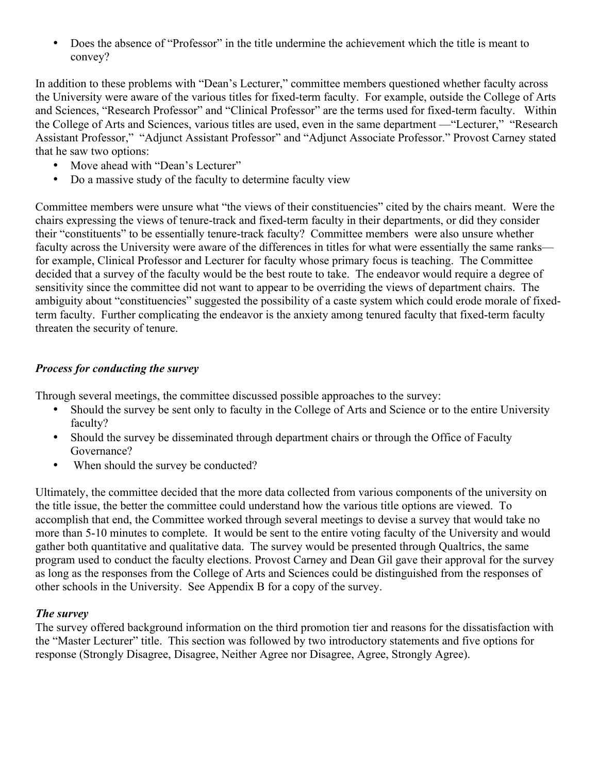• Does the absence of "Professor" in the title undermine the achievement which the title is meant to convey?

In addition to these problems with "Dean's Lecturer," committee members questioned whether faculty across the University were aware of the various titles for fixed-term faculty. For example, outside the College of Arts and Sciences, "Research Professor" and "Clinical Professor" are the terms used for fixed-term faculty. Within the College of Arts and Sciences, various titles are used, even in the same department —"Lecturer," "Research Assistant Professor," "Adjunct Assistant Professor" and "Adjunct Associate Professor." Provost Carney stated that he saw two options:

- Move ahead with "Dean's Lecturer"
- Do a massive study of the faculty to determine faculty view

Committee members were unsure what "the views of their constituencies" cited by the chairs meant. Were the chairs expressing the views of tenure-track and fixed-term faculty in their departments, or did they consider their "constituents" to be essentially tenure-track faculty? Committee members were also unsure whether faculty across the University were aware of the differences in titles for what were essentially the same ranks for example, Clinical Professor and Lecturer for faculty whose primary focus is teaching. The Committee decided that a survey of the faculty would be the best route to take. The endeavor would require a degree of sensitivity since the committee did not want to appear to be overriding the views of department chairs. The ambiguity about "constituencies" suggested the possibility of a caste system which could erode morale of fixedterm faculty. Further complicating the endeavor is the anxiety among tenured faculty that fixed-term faculty threaten the security of tenure.

# *Process for conducting the survey*

Through several meetings, the committee discussed possible approaches to the survey:

- Should the survey be sent only to faculty in the College of Arts and Science or to the entire University faculty?
- Should the survey be disseminated through department chairs or through the Office of Faculty Governance?
- When should the survey be conducted?

Ultimately, the committee decided that the more data collected from various components of the university on the title issue, the better the committee could understand how the various title options are viewed. To accomplish that end, the Committee worked through several meetings to devise a survey that would take no more than 5-10 minutes to complete. It would be sent to the entire voting faculty of the University and would gather both quantitative and qualitative data. The survey would be presented through Qualtrics, the same program used to conduct the faculty elections. Provost Carney and Dean Gil gave their approval for the survey as long as the responses from the College of Arts and Sciences could be distinguished from the responses of other schools in the University. See Appendix B for a copy of the survey.

# *The survey*

The survey offered background information on the third promotion tier and reasons for the dissatisfaction with the "Master Lecturer" title. This section was followed by two introductory statements and five options for response (Strongly Disagree, Disagree, Neither Agree nor Disagree, Agree, Strongly Agree).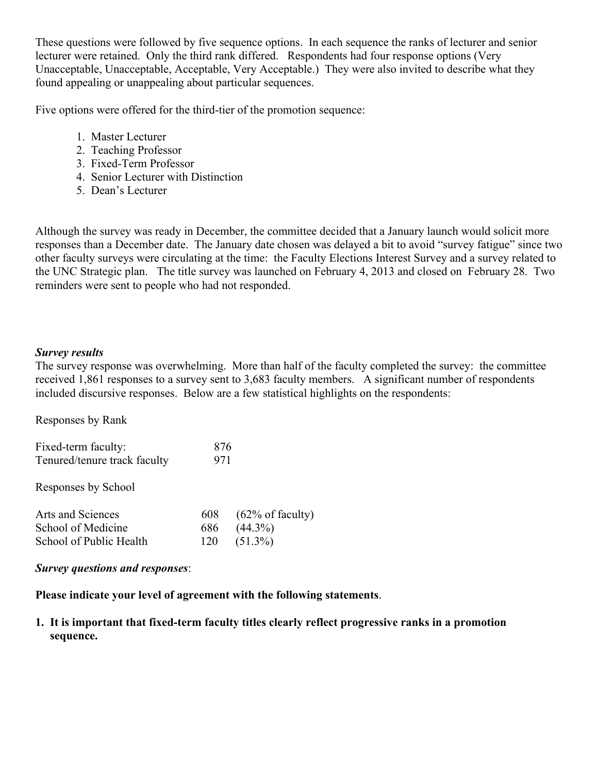These questions were followed by five sequence options. In each sequence the ranks of lecturer and senior lecturer were retained. Only the third rank differed. Respondents had four response options (Very Unacceptable, Unacceptable, Acceptable, Very Acceptable.) They were also invited to describe what they found appealing or unappealing about particular sequences.

Five options were offered for the third-tier of the promotion sequence:

- 1. Master Lecturer
- 2. Teaching Professor
- 3. Fixed-Term Professor
- 4. Senior Lecturer with Distinction
- 5. Dean's Lecturer

Although the survey was ready in December, the committee decided that a January launch would solicit more responses than a December date. The January date chosen was delayed a bit to avoid "survey fatigue" since two other faculty surveys were circulating at the time: the Faculty Elections Interest Survey and a survey related to the UNC Strategic plan. The title survey was launched on February 4, 2013 and closed on February 28. Two reminders were sent to people who had not responded.

# *Survey results*

The survey response was overwhelming. More than half of the faculty completed the survey: the committee received 1,861 responses to a survey sent to 3,683 faculty members. A significant number of respondents included discursive responses. Below are a few statistical highlights on the respondents:

| Responses by Rank                                   |            |                             |
|-----------------------------------------------------|------------|-----------------------------|
| Fixed-term faculty:<br>Tenured/tenure track faculty | 876<br>971 |                             |
| Responses by School                                 |            |                             |
| Arts and Sciences                                   | 608        | $(62\% \text{ of faculty})$ |
| School of Medicine                                  | 686        | $(44.3\%)$                  |
| School of Public Health                             | 120        | $(51.3\%)$                  |

# *Survey questions and responses*:

**Please indicate your level of agreement with the following statements**.

**1. It is important that fixed-term faculty titles clearly reflect progressive ranks in a promotion sequence.**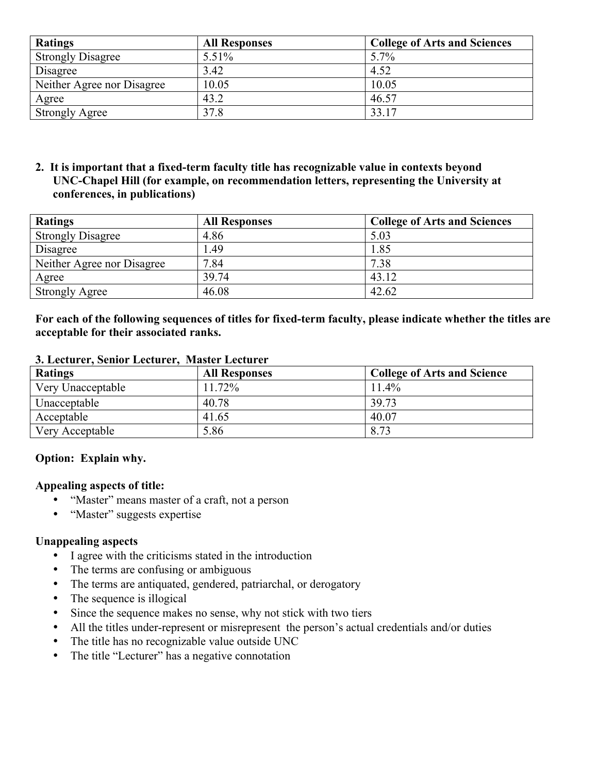| <b>Ratings</b>             | <b>All Responses</b> | <b>College of Arts and Sciences</b> |
|----------------------------|----------------------|-------------------------------------|
| <b>Strongly Disagree</b>   | 5.51%                | 5.7%                                |
| Disagree                   | 3.42                 | 4.52                                |
| Neither Agree nor Disagree | 10.05                | 10.05                               |
| Agree                      | 43.2                 | 46.57                               |
| <b>Strongly Agree</b>      | 37.8                 | 33.17                               |

**2. It is important that a fixed-term faculty title has recognizable value in contexts beyond UNC-Chapel Hill (for example, on recommendation letters, representing the University at conferences, in publications)**

| <b>Ratings</b>             | <b>All Responses</b> | <b>College of Arts and Sciences</b> |
|----------------------------|----------------------|-------------------------------------|
| <b>Strongly Disagree</b>   | 4.86                 | 5.03                                |
| Disagree                   | 1.49                 | 1.85                                |
| Neither Agree nor Disagree | 7.84                 | 7.38                                |
| Agree                      | 39.74                | 43.12                               |
| <b>Strongly Agree</b>      | 46.08                | 42.62                               |

**For each of the following sequences of titles for fixed-term faculty, please indicate whether the titles are acceptable for their associated ranks.**

| <b>Ratings</b>    | <b>All Responses</b> | <b>College of Arts and Science</b> |
|-------------------|----------------------|------------------------------------|
| Very Unacceptable | 11.72%               | $11.4\%$                           |
| Unacceptable      | 40.78                | 39.73                              |
| Acceptable        | 41.65                | 40.07                              |
| Very Acceptable   | 5.86                 | 8.73                               |

### **3. Lecturer, Senior Lecturer, Master Lecturer**

### **Option: Explain why.**

### **Appealing aspects of title:**

- "Master" means master of a craft, not a person
- "Master" suggests expertise

# **Unappealing aspects**

- I agree with the criticisms stated in the introduction
- The terms are confusing or ambiguous
- The terms are antiquated, gendered, patriarchal, or derogatory<br>• The sequence is illogical
- The sequence is illogical
- Since the sequence makes no sense, why not stick with two tiers
- All the titles under-represent or misrepresent the person's actual credentials and/or duties
- The title has no recognizable value outside UNC
- The title "Lecturer" has a negative connotation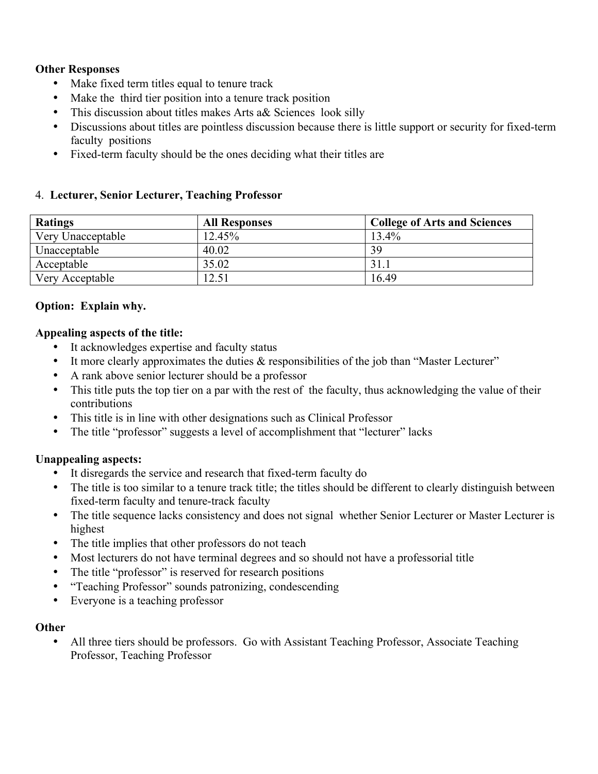# **Other Responses**

- Make fixed term titles equal to tenure track
- Make the third tier position into a tenure track position
- This discussion about titles makes Arts a& Sciences look silly
- Discussions about titles are pointless discussion because there is little support or security for fixed-term faculty positions
- Fixed-term faculty should be the ones deciding what their titles are

# 4. **Lecturer, Senior Lecturer, Teaching Professor**

| <b>Ratings</b>    | <b>All Responses</b> | <b>College of Arts and Sciences</b> |
|-------------------|----------------------|-------------------------------------|
| Very Unacceptable | 12.45%               | 13.4%                               |
| Unacceptable      | 40.02                | 39                                  |
| Acceptable        | 35.02                | 31.                                 |
| Very Acceptable   | 12.51                | 16.49                               |

# **Option: Explain why.**

# **Appealing aspects of the title:**

- It acknowledges expertise and faculty status
- It more clearly approximates the duties  $\&$  responsibilities of the job than "Master Lecturer"
- A rank above senior lecturer should be a professor
- This title puts the top tier on a par with the rest of the faculty, thus acknowledging the value of their contributions
- This title is in line with other designations such as Clinical Professor
- The title "professor" suggests a level of accomplishment that "lecturer" lacks

# **Unappealing aspects:**

- It disregards the service and research that fixed-term faculty do
- The title is too similar to a tenure track title; the titles should be different to clearly distinguish between fixed-term faculty and tenure-track faculty
- The title sequence lacks consistency and does not signal whether Senior Lecturer or Master Lecturer is highest
- The title implies that other professors do not teach
- Most lecturers do not have terminal degrees and so should not have a professorial title
- The title "professor" is reserved for research positions
- "Teaching Professor" sounds patronizing, condescending
- Everyone is a teaching professor

# **Other**

• All three tiers should be professors. Go with Assistant Teaching Professor, Associate Teaching Professor, Teaching Professor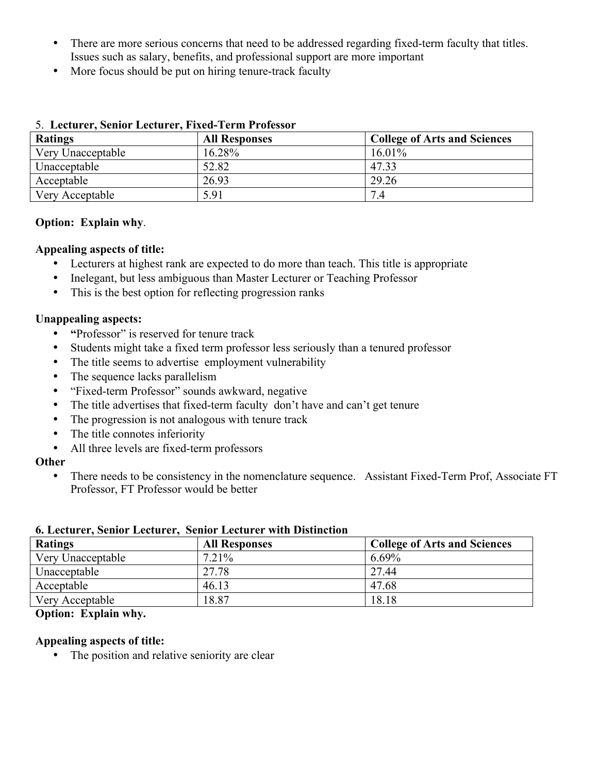- There are more serious concerns that need to be addressed regarding fixed-term faculty that titles. Issues such as salary, benefits, and professional support are more important
- More focus should be put on hiring tenure-track faculty

| v. Lietus et senior lietus ett rikes refin richessor |                      |                                     |
|------------------------------------------------------|----------------------|-------------------------------------|
| <b>Ratings</b>                                       | <b>All Responses</b> | <b>College of Arts and Sciences</b> |
| Very Unacceptable                                    | 16.28%               | $16.01\%$                           |
| Unacceptable                                         | 52.82                | 47.33                               |
| Acceptable                                           | 26.93                | 29.26                               |
| Very Acceptable                                      | 5.91                 | 7.4                                 |

### 5. **Lecturer, Senior Lecturer, Fixed-Term Professor**

### **Option: Explain why**.

### **Appealing aspects of title:**

- Lecturers at highest rank are expected to do more than teach. This title is appropriate
- Inelegant, but less ambiguous than Master Lecturer or Teaching Professor
- This is the best option for reflecting progression ranks

# **Unappealing aspects:**

- **"**Professor" is reserved for tenure track
- Students might take a fixed term professor less seriously than a tenured professor
- The title seems to advertise employment vulnerability
- The sequence lacks parallelism
- "Fixed-term Professor" sounds awkward, negative
- The title advertises that fixed-term faculty don't have and can't get tenure
- The progression is not analogous with tenure track
- The title connotes inferiority
- All three levels are fixed-term professors

### **Other**

• There needs to be consistency in the nomenclature sequence. Assistant Fixed-Term Prof, Associate FT Professor, FT Professor would be better

| <u>vi beeval eri selligi beeval eri selligi beeval er miell bilgiliegigil</u> |                      |                                     |
|-------------------------------------------------------------------------------|----------------------|-------------------------------------|
| <b>Ratings</b>                                                                | <b>All Responses</b> | <b>College of Arts and Sciences</b> |
| Very Unacceptable                                                             | 7.21%                | 6.69%                               |
| Unacceptable                                                                  | 27.78                | 27.44                               |
| Acceptable                                                                    | 46.13                | 47.68                               |
| Very Acceptable                                                               | 18.87                | 18.18                               |

#### **6. Lecturer, Senior Lecturer, Senior Lecturer with Distinction**

# **Option: Explain why.**

### **Appealing aspects of title:**

• The position and relative seniority are clear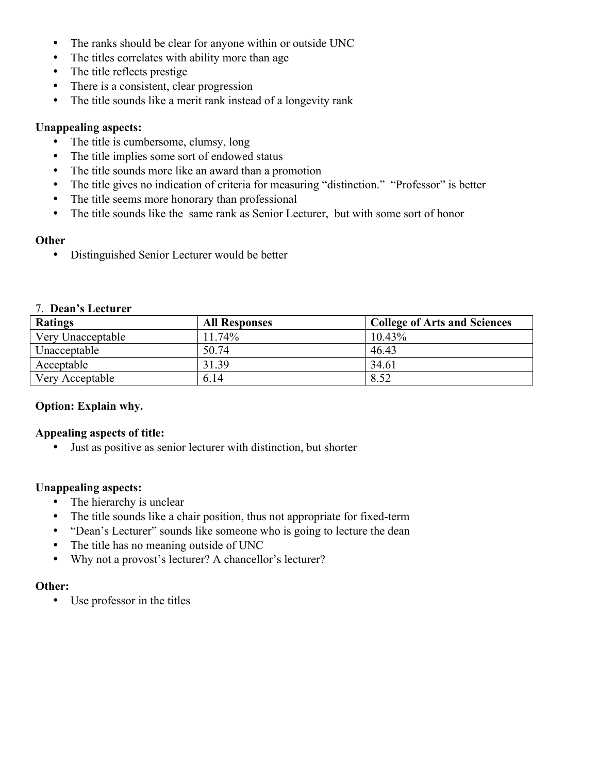- The ranks should be clear for anyone within or outside UNC
- The titles correlates with ability more than age
- The title reflects prestige
- There is a consistent, clear progression
- The title sounds like a merit rank instead of a longevity rank

# **Unappealing aspects:**

- The title is cumbersome, clumsy, long
- The title implies some sort of endowed status
- The title sounds more like an award than a promotion
- The title gives no indication of criteria for measuring "distinction." "Professor" is better
- The title seems more honorary than professional
- The title sounds like the same rank as Senior Lecturer, but with some sort of honor

# **Other**

• Distinguished Senior Lecturer would be better

### 7. **Dean's Lecturer**

| <b>Ratings</b>    | <b>All Responses</b> | <b>College of Arts and Sciences</b> |
|-------------------|----------------------|-------------------------------------|
| Very Unacceptable | 11.74%               | $10.43\%$                           |
| Unacceptable      | 50.74                | 46.43                               |
| Acceptable        | 31.39                | 34.61                               |
| Very Acceptable   | 6.14                 | 8.52                                |

# **Option: Explain why.**

# **Appealing aspects of title:**

• Just as positive as senior lecturer with distinction, but shorter

# **Unappealing aspects:**

- The hierarchy is unclear
- The title sounds like a chair position, thus not appropriate for fixed-term
- "Dean's Lecturer" sounds like someone who is going to lecture the dean
- The title has no meaning outside of UNC
- Why not a provost's lecturer? A chancellor's lecturer?

# **Other:**

• Use professor in the titles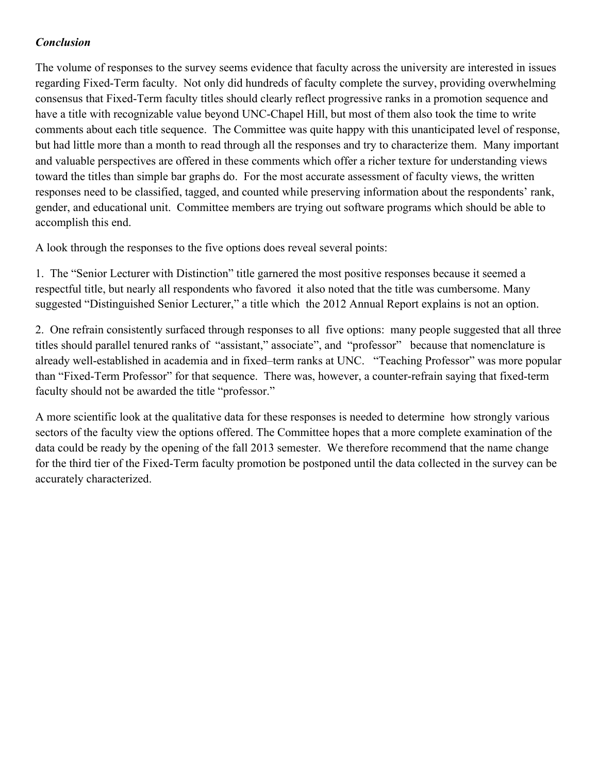# *Conclusion*

The volume of responses to the survey seems evidence that faculty across the university are interested in issues regarding Fixed-Term faculty. Not only did hundreds of faculty complete the survey, providing overwhelming consensus that Fixed-Term faculty titles should clearly reflect progressive ranks in a promotion sequence and have a title with recognizable value beyond UNC-Chapel Hill, but most of them also took the time to write comments about each title sequence. The Committee was quite happy with this unanticipated level of response, but had little more than a month to read through all the responses and try to characterize them. Many important and valuable perspectives are offered in these comments which offer a richer texture for understanding views toward the titles than simple bar graphs do. For the most accurate assessment of faculty views, the written responses need to be classified, tagged, and counted while preserving information about the respondents' rank, gender, and educational unit. Committee members are trying out software programs which should be able to accomplish this end.

A look through the responses to the five options does reveal several points:

1. The "Senior Lecturer with Distinction" title garnered the most positive responses because it seemed a respectful title, but nearly all respondents who favored it also noted that the title was cumbersome. Many suggested "Distinguished Senior Lecturer," a title which the 2012 Annual Report explains is not an option.

2. One refrain consistently surfaced through responses to all five options: many people suggested that all three titles should parallel tenured ranks of "assistant," associate", and "professor" because that nomenclature is already well-established in academia and in fixed–term ranks at UNC. "Teaching Professor" was more popular than "Fixed-Term Professor" for that sequence. There was, however, a counter-refrain saying that fixed-term faculty should not be awarded the title "professor."

A more scientific look at the qualitative data for these responses is needed to determine how strongly various sectors of the faculty view the options offered. The Committee hopes that a more complete examination of the data could be ready by the opening of the fall 2013 semester. We therefore recommend that the name change for the third tier of the Fixed-Term faculty promotion be postponed until the data collected in the survey can be accurately characterized.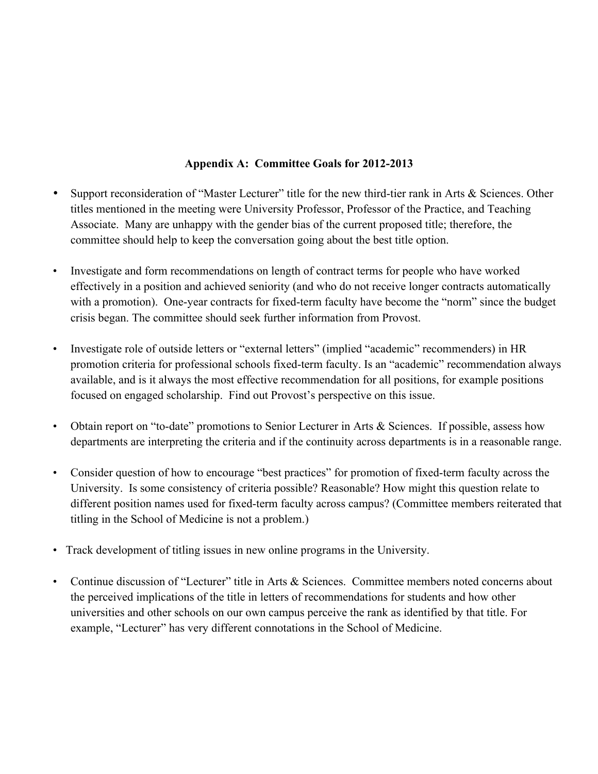# **Appendix A: Committee Goals for 2012-2013**

- Support reconsideration of "Master Lecturer" title for the new third-tier rank in Arts & Sciences. Other titles mentioned in the meeting were University Professor, Professor of the Practice, and Teaching Associate. Many are unhappy with the gender bias of the current proposed title; therefore, the committee should help to keep the conversation going about the best title option.
- Investigate and form recommendations on length of contract terms for people who have worked effectively in a position and achieved seniority (and who do not receive longer contracts automatically with a promotion). One-year contracts for fixed-term faculty have become the "norm" since the budget crisis began. The committee should seek further information from Provost.
- Investigate role of outside letters or "external letters" (implied "academic" recommenders) in HR promotion criteria for professional schools fixed-term faculty. Is an "academic" recommendation always available, and is it always the most effective recommendation for all positions, for example positions focused on engaged scholarship. Find out Provost's perspective on this issue.
- Obtain report on "to-date" promotions to Senior Lecturer in Arts & Sciences. If possible, assess how departments are interpreting the criteria and if the continuity across departments is in a reasonable range.
- Consider question of how to encourage "best practices" for promotion of fixed-term faculty across the University. Is some consistency of criteria possible? Reasonable? How might this question relate to different position names used for fixed-term faculty across campus? (Committee members reiterated that titling in the School of Medicine is not a problem.)
- Track development of titling issues in new online programs in the University.
- Continue discussion of "Lecturer" title in Arts & Sciences. Committee members noted concerns about the perceived implications of the title in letters of recommendations for students and how other universities and other schools on our own campus perceive the rank as identified by that title. For example, "Lecturer" has very different connotations in the School of Medicine.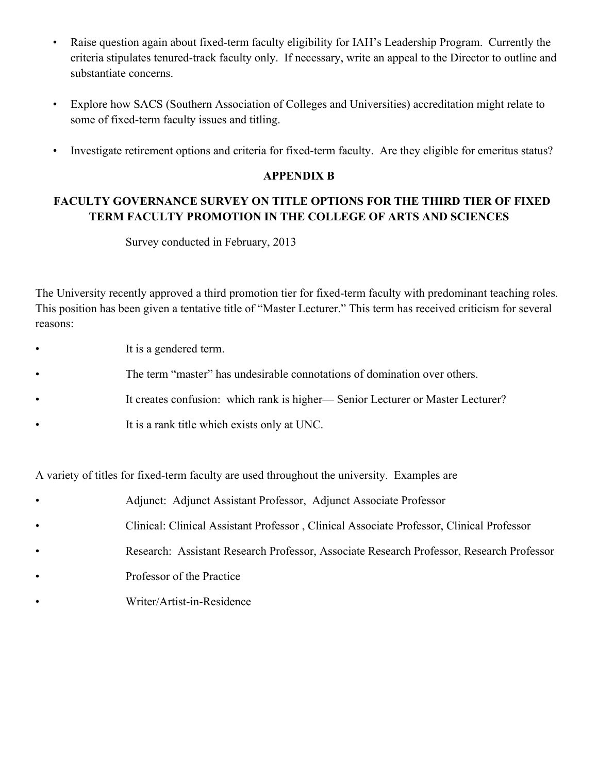- Raise question again about fixed-term faculty eligibility for IAH's Leadership Program. Currently the criteria stipulates tenured-track faculty only. If necessary, write an appeal to the Director to outline and substantiate concerns.
- Explore how SACS (Southern Association of Colleges and Universities) accreditation might relate to some of fixed-term faculty issues and titling.
- Investigate retirement options and criteria for fixed-term faculty. Are they eligible for emeritus status?

### **APPENDIX B**

# **FACULTY GOVERNANCE SURVEY ON TITLE OPTIONS FOR THE THIRD TIER OF FIXED TERM FACULTY PROMOTION IN THE COLLEGE OF ARTS AND SCIENCES**

Survey conducted in February, 2013

The University recently approved a third promotion tier for fixed-term faculty with predominant teaching roles. This position has been given a tentative title of "Master Lecturer." This term has received criticism for several reasons:

- It is a gendered term.
- The term "master" has undesirable connotations of domination over others.
- It creates confusion: which rank is higher— Senior Lecturer or Master Lecturer?
- It is a rank title which exists only at UNC.

A variety of titles for fixed-term faculty are used throughout the university. Examples are

- Adjunct: Adjunct Assistant Professor, Adjunct Associate Professor
- Clinical: Clinical Assistant Professor , Clinical Associate Professor, Clinical Professor
- Research: Assistant Research Professor, Associate Research Professor, Research Professor
- Professor of the Practice
- Writer/Artist-in-Residence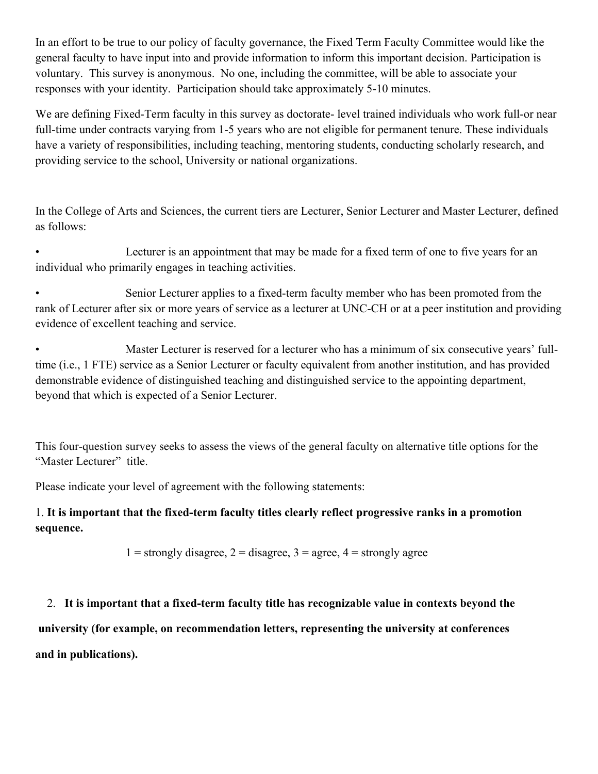In an effort to be true to our policy of faculty governance, the Fixed Term Faculty Committee would like the general faculty to have input into and provide information to inform this important decision. Participation is voluntary. This survey is anonymous. No one, including the committee, will be able to associate your responses with your identity. Participation should take approximately 5-10 minutes.

We are defining Fixed-Term faculty in this survey as doctorate- level trained individuals who work full-or near full-time under contracts varying from 1-5 years who are not eligible for permanent tenure. These individuals have a variety of responsibilities, including teaching, mentoring students, conducting scholarly research, and providing service to the school, University or national organizations.

In the College of Arts and Sciences, the current tiers are Lecturer, Senior Lecturer and Master Lecturer, defined as follows:

• Lecturer is an appointment that may be made for a fixed term of one to five years for an individual who primarily engages in teaching activities.

• Senior Lecturer applies to a fixed-term faculty member who has been promoted from the rank of Lecturer after six or more years of service as a lecturer at UNC-CH or at a peer institution and providing evidence of excellent teaching and service.

Master Lecturer is reserved for a lecturer who has a minimum of six consecutive years' fulltime (i.e., 1 FTE) service as a Senior Lecturer or faculty equivalent from another institution, and has provided demonstrable evidence of distinguished teaching and distinguished service to the appointing department, beyond that which is expected of a Senior Lecturer.

This four-question survey seeks to assess the views of the general faculty on alternative title options for the "Master Lecturer" title.

Please indicate your level of agreement with the following statements:

# 1. **It is important that the fixed-term faculty titles clearly reflect progressive ranks in a promotion sequence.**

1 = strongly disagree,  $2 =$  disagree,  $3 =$  agree,  $4 =$  strongly agree

# 2. **It is important that a fixed-term faculty title has recognizable value in contexts beyond the**

**university (for example, on recommendation letters, representing the university at conferences and in publications).**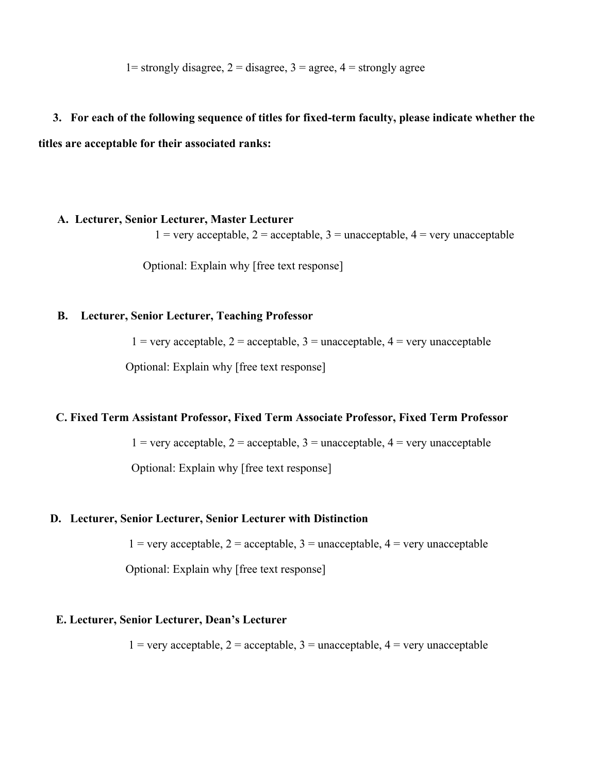1= strongly disagree,  $2 =$  disagree,  $3 =$  agree,  $4 =$  strongly agree

# **3. For each of the following sequence of titles for fixed-term faculty, please indicate whether the**

**titles are acceptable for their associated ranks:** 

### **A. Lecturer, Senior Lecturer, Master Lecturer**

 $1 =$  very acceptable,  $2 =$  acceptable,  $3 =$  unacceptable,  $4 =$  very unacceptable

Optional: Explain why [free text response]

### **B. Lecturer, Senior Lecturer, Teaching Professor**

 $1 =$  very acceptable,  $2 =$  acceptable,  $3 =$  unacceptable,  $4 =$  very unacceptable

Optional: Explain why [free text response]

### **C. Fixed Term Assistant Professor, Fixed Term Associate Professor, Fixed Term Professor**

 $1 =$  very acceptable,  $2 =$  acceptable,  $3 =$  unacceptable,  $4 =$  very unacceptable

Optional: Explain why [free text response]

### **D. Lecturer, Senior Lecturer, Senior Lecturer with Distinction**

 $1 =$  very acceptable,  $2 =$  acceptable,  $3 =$  unacceptable,  $4 =$  very unacceptable

Optional: Explain why [free text response]

### **E. Lecturer, Senior Lecturer, Dean's Lecturer**

 $1 =$  very acceptable,  $2 =$  acceptable,  $3 =$  unacceptable,  $4 =$  very unacceptable